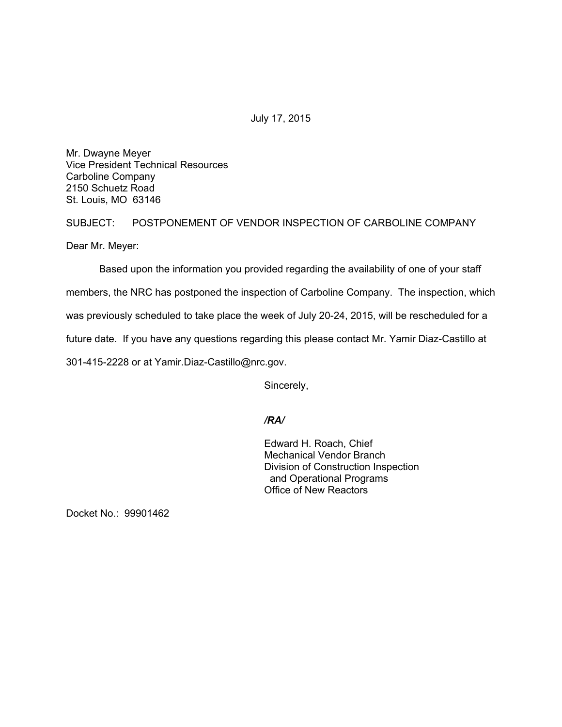July 17, 2015

Mr. Dwayne Meyer Vice President Technical Resources Carboline Company 2150 Schuetz Road St. Louis, MO 63146

SUBJECT: POSTPONEMENT OF VENDOR INSPECTION OF CARBOLINE COMPANY

Dear Mr. Meyer:

Based upon the information you provided regarding the availability of one of your staff members, the NRC has postponed the inspection of Carboline Company. The inspection, which was previously scheduled to take place the week of July 20-24, 2015, will be rescheduled for a future date. If you have any questions regarding this please contact Mr. Yamir Diaz-Castillo at 301-415-2228 or at Yamir.Diaz-Castillo@nrc.gov.

Sincerely,

## */RA/*

Edward H. Roach, Chief Mechanical Vendor Branch Division of Construction Inspection and Operational Programs Office of New Reactors

Docket No.: 99901462